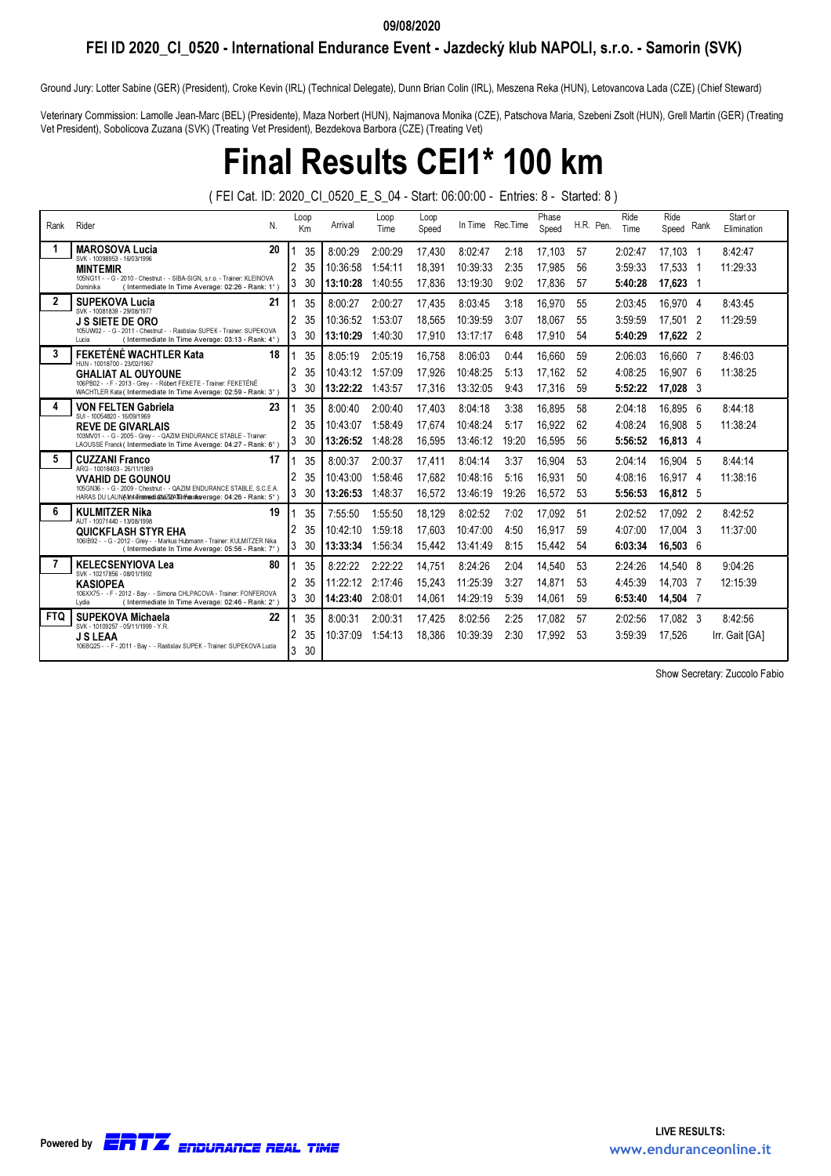#### 09/08/2020

### FEI ID 2020\_CI\_0520 - International Endurance Event - Jazdecký klub NAPOLI, s.r.o. - Samorin (SVK)

Ground Jury: Lotter Sabine (GER) (President), Croke Kevin (IRL) (Technical Delegate), Dunn Brian Colin (IRL), Meszena Reka (HUN), Letovancova Lada (CZE) (Chief Steward)

Veterinary Commission: Lamolle Jean-Marc (BEL) (Presidente), Maza Norbert (HUN), Najmanova Monika (CZE), Patschova Maria, Szebeni Zsolt (HUN), Grell Martin (GER) (Treating Vet President), Sobolicova Zuzana (SVK) (Treating Vet President), Bezdekova Barbora (CZE) (Treating Vet)

### Final Results CEI1\* 100 km

( FEI Cat. ID: 2020\_CI\_0520\_E\_S\_04 - Start: 06:00:00 - Entries: 8 - Started: 8 )

| Rank       | Rider<br>N.                                                                                                                               |                | Loop<br>Km | Arrival  | Loop<br>Time | Loop<br>Speed |          | In Time Rec. Time | Phase<br>Speed | H.R. Pen. | Ride<br>Time | Ride<br>Speed | Rank | Start or<br>Elimination |
|------------|-------------------------------------------------------------------------------------------------------------------------------------------|----------------|------------|----------|--------------|---------------|----------|-------------------|----------------|-----------|--------------|---------------|------|-------------------------|
| 1          | <b>MAROSOVA Lucia</b><br>20<br>SVK - 10098953 - 16/03/1996                                                                                |                | 35         | 8:00:29  | 2:00:29      | 17,430        | 8:02:47  | 2:18              | 17,103         | 57        | 2:02:47      | 17,103 1      |      | 8:42:47                 |
|            | <b>MINTEMIR</b>                                                                                                                           | 2              | 35         | 10:36:58 | 1:54:11      | 18,391        | 10:39:33 | 2:35              | 17.985         | 56        | 3:59:33      | 17.533        | - 1  | 11:29:33                |
|            | 105NG11 - - G - 2010 - Chestnut - - SIBA-SIGN, s.r.o. - Trainer: KLEINOVA<br>(Intermediate In Time Average: 02:26 - Rank: 1°)<br>Dominika | 3              | 30         | 13:10:28 | 1:40:55      | 17,836        | 13:19:30 | 9:02              | 17,836         | 57        | 5:40:28      | 17,623 1      |      |                         |
| 2          | <b>SUPEKOVA Lucia</b><br>21                                                                                                               |                | 35         | 8:00:27  | 2:00:27      | 17,435        | 8:03:45  | 3:18              | 16.970         | 55        | 2:03:45      | 16.970 4      |      | 8:43:45                 |
|            | SVK - 10081839 - 29/08/1977<br><b>J S SIETE DE ORO</b>                                                                                    |                | 35         | 10:36:52 | 1:53:07      | 18.565        | 10:39:59 | 3:07              | 18.067         | 55        | 3:59:59      | 17.501 2      |      | 11:29:59                |
|            | 105UW02 - - G - 2011 - Chestnut - - Rastislav SUPEK - Trainer: SUPEKOVA<br>(Intermediate In Time Average: 03:13 - Rank: 4°)<br>Lucia      | $\overline{3}$ | 30         | 13:10:29 | 1:40:30      | 17,910        | 13:17:17 | 6:48              | 17.910         | 54        | 5:40:29      | 17,622 2      |      |                         |
| 3          | FEKETÉNÉ WACHTLER Kata<br>18<br>HUN - 10018700 - 23/02/1967                                                                               |                | 35         | 8:05:19  | 2:05:19      | 16.758        | 8:06:03  | 0:44              | 16,660         | 59        | 2:06:03      | 16.660 7      |      | 8:46:03                 |
|            | <b>GHALIAT AL OUYOUNE</b>                                                                                                                 |                | 35         | 10:43:12 | 1:57:09      | 17,926        | 10:48:25 | 5:13              | 17,162         | 52        | 4:08:25      | 16,907        | - 6  | 11:38:25                |
|            | 106PB02 - - F - 2013 - Grev - - Róbert FEKETE - Trainer: FEKETÉNÉ<br>WACHTLER Kata (Intermediate In Time Average: 02:59 - Rank: 3°)       | 3              | 30         | 13:22:22 | 1:43:57      | 17,316        | 13:32:05 | 9:43              | 17,316         | 59        | 5:52:22      | 17,028 3      |      |                         |
| 4          | 23<br><b>VON FELTEN Gabriela</b><br>SUI - 10054820 - 16/09/1969                                                                           |                | 35         | 8:00:40  | 2:00:40      | 17,403        | 8:04:18  | 3:38              | 16.895         | 58        | 2:04:18      | 16.895 6      |      | 8:44:18                 |
|            | <b>REVE DE GIVARLAIS</b>                                                                                                                  |                | 35         | 10:43:07 | 1:58:49      | 17.674        | 10:48:24 | 5:17              | 16.922         | 62        | 4:08:24      | 16.908 5      |      | 11:38:24                |
|            | 103MV01 - - G - 2005 - Grey - - QAZIM ENDURANCE STABLE - Trainer:<br>LAOUSSE Franck (Intermediate In Time Average: 04:27 - Rank: 6°)      | 3              | 30         | 13:26:52 | 1:48:28      | 16,595        | 13:46:12 | 19:20             | 16.595         | 56        | 5:56:52      | 16,813 4      |      |                         |
| 5          | <b>CUZZANI Franco</b><br>17<br>ARG - 10018403 - 26/11/1989                                                                                |                | 35         | 8:00:37  | 2:00:37      | 17,411        | 8:04:14  | 3:37              | 16.904         | 53        | 2:04:14      | 16.904 5      |      | 8:44:14                 |
|            | <b>VVAHID DE GOUNOU</b>                                                                                                                   | 2              | 35         | 10:43:00 | 1:58:46      | 17.682        | 10:48:16 | 5:16              | 16.931         | 50        | 4:08:16      | 16.917 4      |      | 11:38:16                |
|            | 105GN36 - - G - 2009 - Chestnut - - QAZIM ENDURANCE STABLE, S.C.E.A.<br>HARAS DU LAUNA Intermediate/ZANirhansverage: 04:26 - Rank: 5°)    | 3              | 30         | 13:26:53 | 1:48:37      | 16,572        | 13:46:19 | 19:26             | 16.572         | 53        | 5:56:53      | 16,812 5      |      |                         |
| 6          | 19<br><b>KULMITZER Nika</b><br>AUT - 10071440 - 13/08/1998                                                                                |                | 35         | 7:55:50  | 1:55:50      | 18,129        | 8:02:52  | 7:02              | 17,092         | 51        | 2:02:52      | 17.092 2      |      | 8:42:52                 |
|            | <b>QUICKFLASH STYR EHA</b>                                                                                                                |                | 35         | 10:42:10 | 1:59:18      | 17.603        | 10:47:00 | 4:50              | 16.917         | 59        | 4:07:00      | 17.004 3      |      | 11:37:00                |
|            | 1061B92 - - G - 2012 - Grev - - Markus Hubmann - Trainer, KULMITZER Nika<br>(Intermediate In Time Average: 05:56 - Rank: 7°)              | 3              | 30         | 13:33:34 | 1:56:34      | 15,442        | 13:41:49 | 8:15              | 15.442         | 54        | 6:03:34      | 16,503 6      |      |                         |
| 7          | <b>KELECSENYIOVA Lea</b><br>80<br>SVK - 10217856 - 08/01/1992                                                                             |                | 35         | 8:22:22  | 2:22:22      | 14,751        | 8:24:26  | 2:04              | 14.540         | 53        | 2:24:26      | 14.540 8      |      | 9:04:26                 |
|            | <b>KASIOPEA</b>                                                                                                                           | 2              | 35         | 11:22:12 | 2:17:46      | 15,243        | 11:25:39 | 3:27              | 14.871         | 53        | 4:45:39      | 14.703        | - 7  | 12:15:39                |
|            | 106XX75 - - F - 2012 - Bay - - Simona CHLPACOVA - Trainer: FONFEROVA<br>(Intermediate In Time Average: 02:46 - Rank: 2°)<br>Lydia         | 3              | 30         | 14:23:40 | 2:08:01      | 14.061        | 14:29:19 | 5:39              | 14.061         | 59        | 6:53:40      | 14,504 7      |      |                         |
| <b>FTQ</b> | <b>SUPEKOVA Michaela</b><br>22<br>SVK - 10109257 - 05/11/1999 - Y.R.                                                                      |                | 35         | 8:00:31  | 2:00:31      | 17.425        | 8:02:56  | 2:25              | 17,082         | 57        | 2:02:56      | 17,082 3      |      | 8:42:56                 |
|            | <b>J S LEAA</b>                                                                                                                           | 2              | 35         | 10:37:09 | 1:54:13      | 18.386        | 10:39:39 | 2:30              | 17.992         | 53        | 3:59:39      | 17.526        |      | Irr. Gait [GA]          |
|            | 106BQ25 - - F - 2011 - Bay - - Rastislav SUPEK - Trainer: SUPEKOVA Lucia                                                                  | 3              | 30         |          |              |               |          |                   |                |           |              |               |      |                         |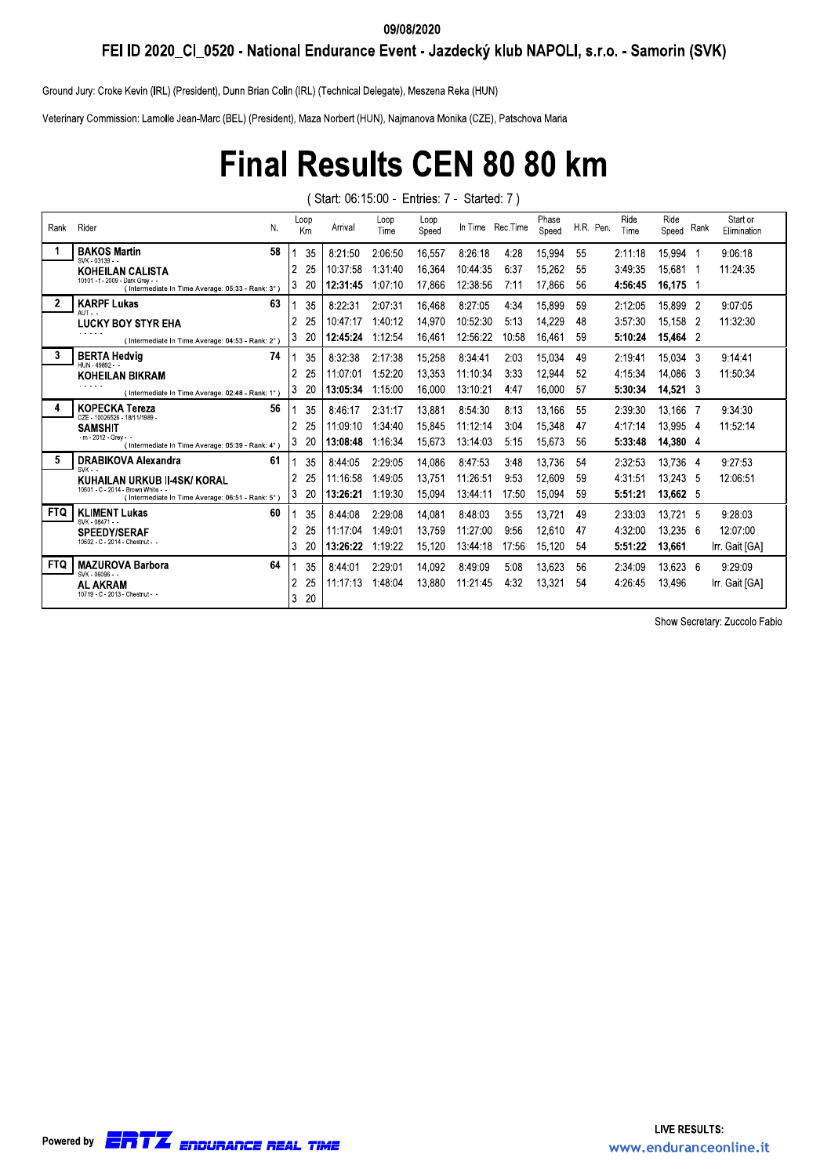#### 09/08/2020

FEI ID 2020\_CI\_0520 - National Endurance Event - Jazdecký klub NAPOLI, s.r.o. - Samorin (SVK)

Ground Jury: Croke Kevin (IRL) (President), Dunn Brian Colin (IRL) (Technical Delegate), Meszena Reka (HUN)

Veterinary Commission: Lamolle Jean-Marc (BEL) (President), Maza Norbert (HUN), Najmanova Monika (CZE), Patschova Maria

## **Final Results CEN 80 80 km**

(Start: 06:15:00 - Entries: 7 - Started: 7)

| Rank | Rider<br>N.                                                                            | Loop<br>Km           | Arrival  | Loop<br>Time | Loop<br>Speed |          | In Time Rec. Time | Phase<br>Speed | H.R. Pen. | Ride<br>Time | Ride<br>Speed Rank | Start or<br>Elimination |
|------|----------------------------------------------------------------------------------------|----------------------|----------|--------------|---------------|----------|-------------------|----------------|-----------|--------------|--------------------|-------------------------|
|      | <b>BAKOS Martin</b><br>58<br>SVK - 03139 - -                                           | 35                   | 8:21:50  | 2:06:50      | 16,557        | 8:26:18  | 4:28              | 15,994         | 55        | 2:11:18      | 15,994 1           | 9:06:18                 |
|      | KOHEILAN CALISTA                                                                       | $\overline{2}$<br>25 | 10:37:58 | 1:31:40      | 16.364        | 10:44:35 | 6:37              | 15,262         | 55        | 3:49:35      | 15,681 1           | 11:24:35                |
|      | 10101 - f - 2009 - Dark Grey - -<br>(Intermediate In Time Average: 05:33 - Rank: 3°)   | Ι3<br>20             | 12:31:45 | 1:07:10      | 17,866        | 12:38:56 | 7:11              | 17,866         | 56        | 4:56:45      | 16,175 1           |                         |
| 2    | <b>KARPF Lukas</b><br>63<br>$A$ UT - -                                                 | 35                   | 8:22:31  | 2:07:31      | 16,468        | 8:27:05  | 4:34              | 15,899         | 59        | 2:12:05      | 15,899 2           | 9:07:05                 |
|      | LUCKY BOY STYR EHA                                                                     | $\overline{2}$<br>25 | 10:47:17 | 1:40:12      | 14,970        | 10:52:30 | 5:13              | 14.229         | 48        | 3:57:30      | 15.158 2           | 11:32:30                |
|      | (Intermediate In Time Average: 04:53 - Rank: 2°)                                       | l3<br>20             | 12:45:24 | 1:12:54      | 16,461        | 12:56:22 | 10:58             | 16,461         | 59        | 5:10:24      | 15.464 2           |                         |
| 3    | <b>BERTA Hedvia</b><br>74<br>HUN-49892--                                               | 35                   | 8:32:38  | 2:17:38      | 15,258        | 8:34:41  | 2:03              | 15,034         | 49        | 2:19:41      | 15.034 3           | 9:14:41                 |
|      | KOHEILAN BIKRAM                                                                        | $\overline{2}$<br>25 | 11:07:01 | 1:52:20      | 13.353        | 11:10:34 | 3:33              | 12,944         | 52        | 4:15:34      | 14.086 3           | 11:50:34                |
|      | (Intermediate In Time Average: 02:48 - Rank: 1°)                                       | 3<br>20              | 13:05:34 | 1:15:00      | 16,000        | 13:10:21 | 4.47              | 16,000         | 57        | 5:30:34      | $14,521$ 3         |                         |
|      | 56<br><b>KOPECKA Tereza</b><br>CZE - 10026526 - 18/11/1989 -                           | 35                   | 8:46:17  | 2:31:17      | 13.881        | 8:54:30  | 8:13              | 13,166         | 55        | 2:39:30      | 13.166 7           | 9:34:30                 |
|      | <b>SAMSHIT</b>                                                                         | 2<br>25              | 11:09:10 | 1:34:40      | 15.845        | 11:12:14 | 3:04              | 15.348         | 47        | 4:17:14      | 13.995 4           | 11:52:14                |
|      | $-m - 2012 - Grev - -$<br>(Intermediate In Time Average: 05:39 - Rank: 4°)             | 3<br>20              | 13:08:48 | 1:16:34      | 15,673        | 13:14:03 | 5:15              | 15,673         | 56        | 5:33:48      | 14,380 4           |                         |
| 5.   | DRABIKOVA Alexandra<br>61<br>$SVK -$                                                   | 35                   | 8:44:05  | 2:29:05      | 14,086        | 8:47:53  | 3:48              | 13,736         | 54        | 2:32:53      | 13.736 4           | 9:27:53                 |
|      | KUHAILAN URKUB II-4SK/ KORAL                                                           | 2<br>25              | 11:16:58 | 1:49:05      | 13.751        | 11:26:51 | 9:53              | 12.609         | 59        | 4:31:51      | 13.243 5           | 12:06:51                |
|      | 10601 - C - 2014 - Brown White - -<br>(Intermediate In Time Average: 06:51 - Rank: 5°) | l3<br>20             | 13:26:21 | 1:19:30      | 15.094        | 13:44:11 | 17:50             | 15.094         | 59        | 5:51:21      | 13.662 5           |                         |
| FTQ. | <b>KLIMENT Lukas</b><br>60<br>SVK - 08471 - -                                          | 35                   | 8:44:08  | 2:29:08      | 14,081        | 8:48:03  | 3:55              | 13,721         | 49        | 2:33:03      | 13,721 5           | 9:28:03                 |
|      | <b>SPEEDY/SERAF</b>                                                                    | $\overline{2}$<br>25 | 11:17:04 | 1:49:01      | 13,759        | 11:27:00 | 9:56              | 12,610         | 47        | 4:32:00      | 13,235 6           | 12:07:00                |
|      | 10602 - C - 2014 - Chestnut - -                                                        | 3<br>20              | 13:26:22 | 1:19:22      | 15,120        | 13:44:18 | 17:56             | 15.120         | 54        | 5:51:22      | 13,661             | Irr. Gait [GA]          |
| FTQ  | <b>MAZUROVA Barbora</b><br>64<br>SVK - 06096 - -                                       | 35                   | 8:44:01  | 2:29:01      | 14,092        | 8:49:09  | 5:08              | 13.623         | 56        | 2:34:09      | 13,623 6           | 9:29:09                 |
|      | <b>AL AKRAM</b>                                                                        | $\overline{2}$<br>25 | 11:17:13 | 1:48:04      | 13.880        | 11:21:45 | 4:32              | 13.321         | 54        | 4:26:45      | 13.496             | Irr. Gait [GA]          |
|      | 10719 - C - 2013 - Chestnut - -                                                        | 3<br>20              |          |              |               |          |                   |                |           |              |                    |                         |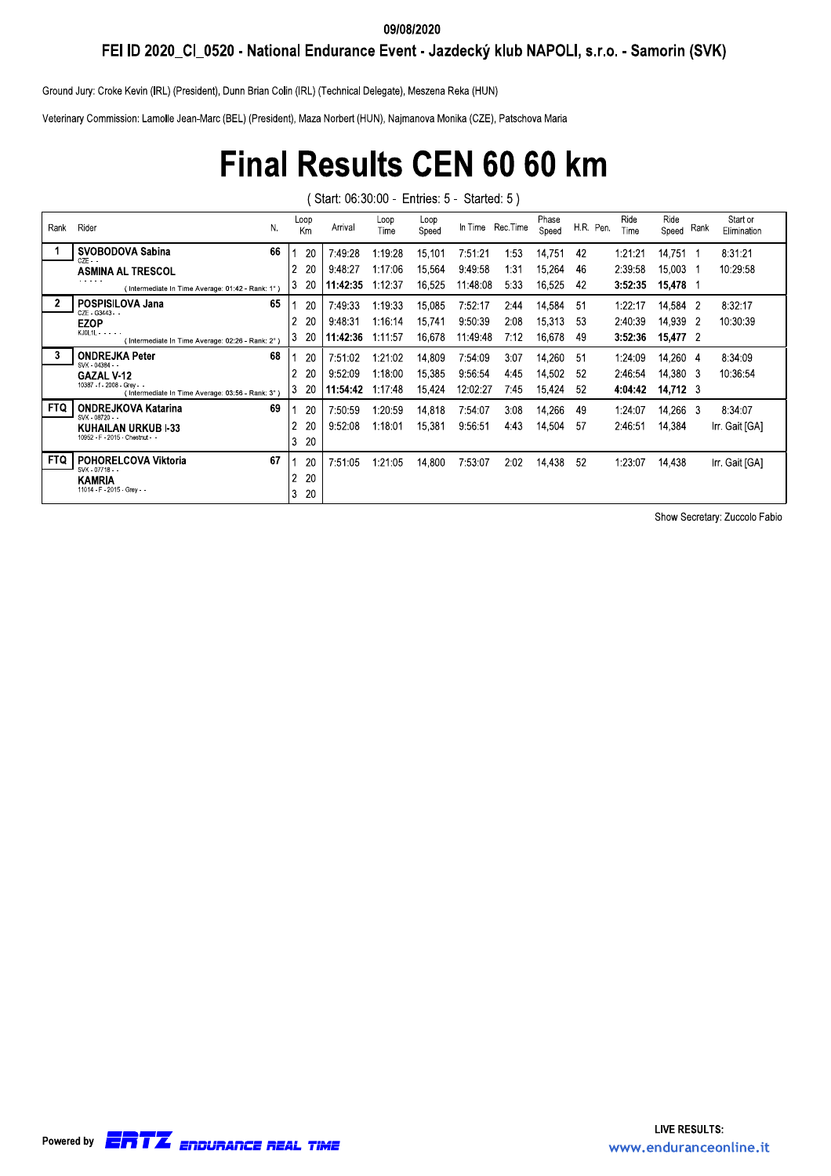#### 09/08/2020

FEI ID 2020\_CI\_0520 - National Endurance Event - Jazdecký klub NAPOLI, s.r.o. - Samorin (SVK)

Ground Jury: Croke Kevin (IRL) (President), Dunn Brian Colin (IRL) (Technical Delegate), Meszena Reka (HUN)

Veterinary Commission: Lamolle Jean-Marc (BEL) (President), Maza Norbert (HUN), Najmanova Monika (CZE), Patschova Maria

## **Final Results CEN 60 60 km**

(Start: 06:30:00 - Entries: 5 - Started: 5)

| Rank       | N.<br>Rider                                                                     |    | Loop<br>Km | Arrival  | Loop<br>Time | Loop<br>Speed |          | In Time Rec. Time | Phase<br>Speed | H.R. Pen. | Ride<br>Time | Ride<br>Speed    | Rank | Start or<br>Elimination |
|------------|---------------------------------------------------------------------------------|----|------------|----------|--------------|---------------|----------|-------------------|----------------|-----------|--------------|------------------|------|-------------------------|
|            | SVOBODOVA Sabina<br>66<br>$CZF -$                                               |    | 20         | 7:49:28  | 1:19:28      | 15,101        | 7:51:21  | 1:53              | 14,751         | 42        | 1:21:21      | 14,751           |      | 8:31:21                 |
|            | <b>ASMINA AL TRESCOL</b>                                                        | 2  | 20         | 9:48:27  | 1:17:06      | 15.564        | 9:49:58  | 1:31              | 15.264         | 46        | 2:39:58      | 15.003           |      | 10:29:58                |
|            | .<br>(Intermediate In Time Average: 01:42 - Rank: 1°                            | 3  | 20         | 11:42:35 | 1:12:37      | 16.525        | 11:48:08 | 5:33              | 16.525         | 42        | 3:52:35      | 15,478           |      |                         |
|            | POSPISILOVA Jana<br>65<br>CZF - G3443 - -                                       |    | 20         | 7:49:33  | 1:19:33      | 15,085        | 7:52:17  | 2:44              | 14,584         | 51        | 1:22:17      | 14,584 2         |      | 8:32:17                 |
|            | <b>EZOP</b>                                                                     | 2  | 20         | 9:48:31  | 1:16:14      | 15,741        | 9:50:39  | 2:08              | 15,313         | 53        | 2:40:39      | 14,939 2         |      | 10:30:39                |
|            | $KJOL1L - - - -$<br>(Intermediate In Time Average: 02:26 - Rank: 2°             | 3  | 20         | 11:42:36 | 1:11:57      | 16,678        | 11:49:48 | 7:12              | 16,678         | 49        | 3:52:36      | 15,477 2         |      |                         |
| 3          | 68<br><b>ONDREJKA Peter</b><br>SVK - 04384 - -                                  |    | 20         | 7:51:02  | 1:21:02      | 14,809        | 7:54:09  | 3:07              | 14,260         | 51        | 1:24:09      | 14.260 4         |      | 8:34:09                 |
|            | <b>GAZAL V-12</b>                                                               | 2  | 20         | 9:52:09  | 1:18:00      | 15,385        | 9:56:54  | 4:45              | 14,502         | 52        | 2:46:54      | 14.380 3         |      | 10:36:54                |
|            | 10387 - f - 2008 - Grev - -<br>(Intermediate In Time Average: 03:56 - Rank: 3°) | I3 | 20         | 11:54:42 | 1:17:48      | 15,424        | 12:02:27 | 7:45              | 15,424         | 52        | 4:04:42      | $14,712 \quad 3$ |      |                         |
| <b>FTQ</b> | 69<br><b>ONDREJKOVA Katarina</b><br>SVK - 08720 - -                             |    | 20         | 7:50:59  | 1:20:59      | 14,818        | 7:54:07  | 3:08              | 14,266         | 49        | 1:24:07      | 14,266 3         |      | 8:34:07                 |
|            | KUHAILAN URKUB I-33                                                             | 2  | 20         | 9:52:08  | 1:18:01      | 15,381        | 9:56:51  | 4:43              | 14,504         | 57        | 2:46:51      | 14,384           |      | Irr. Gait [GA]          |
|            | 10952 - F - 2015 - Chestnut - -                                                 | 3  | 20         |          |              |               |          |                   |                |           |              |                  |      |                         |
| <b>FTQ</b> | POHORELCOVA Viktoria<br>67<br>SVK - 07718 - -                                   |    | 20         | 7:51:05  | 1:21:05      | 14,800        | 7:53:07  | 2:02              | 14.438         | 52        | 1:23:07      | 14,438           |      | Irr. Gait [GA]          |
|            | <b>KAMRIA</b>                                                                   | 2  | 20         |          |              |               |          |                   |                |           |              |                  |      |                         |
|            | 11014 - F - 2015 - Grev - -                                                     | 3  | 20         |          |              |               |          |                   |                |           |              |                  |      |                         |